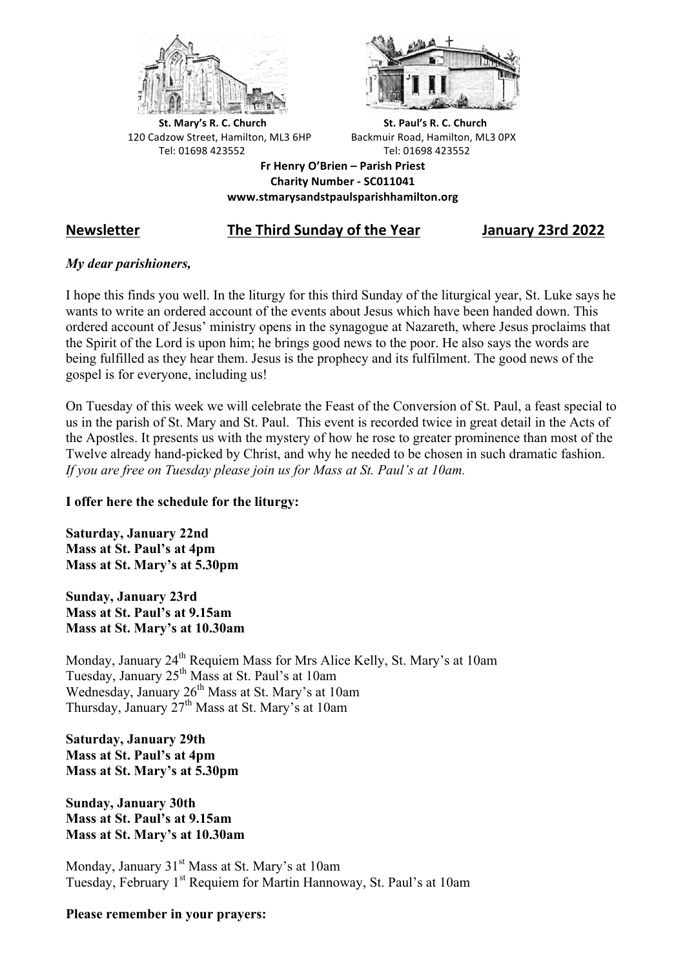



**St.** Mary's R. C. Church St. Paul's R. C. Church 120 Cadzow Street, Hamilton, ML3 6HP Backmuir Road, Hamilton, ML3 0PX Tel: 01698 423552 Tel: 01698 423552

**Fr Henry O'Brien – Parish Priest Charity Number - SC011041 www.stmarysandstpaulsparishhamilton.org**

# **Newsletter The Third Sunday of the Year January 23rd 2022**

## *My dear parishioners,*

I hope this finds you well. In the liturgy for this third Sunday of the liturgical year, St. Luke says he wants to write an ordered account of the events about Jesus which have been handed down. This ordered account of Jesus' ministry opens in the synagogue at Nazareth, where Jesus proclaims that the Spirit of the Lord is upon him; he brings good news to the poor. He also says the words are being fulfilled as they hear them. Jesus is the prophecy and its fulfilment. The good news of the gospel is for everyone, including us!

On Tuesday of this week we will celebrate the Feast of the Conversion of St. Paul, a feast special to us in the parish of St. Mary and St. Paul. This event is recorded twice in great detail in the Acts of the Apostles. It presents us with the mystery of how he rose to greater prominence than most of the Twelve already hand-picked by Christ, and why he needed to be chosen in such dramatic fashion. *If you are free on Tuesday please join us for Mass at St. Paul's at 10am.*

## **I offer here the schedule for the liturgy:**

**Saturday, January 22nd Mass at St. Paul's at 4pm Mass at St. Mary's at 5.30pm**

**Sunday, January 23rd Mass at St. Paul's at 9.15am Mass at St. Mary's at 10.30am**

Monday, January 24<sup>th</sup> Requiem Mass for Mrs Alice Kelly, St. Mary's at 10am Tuesday, January 25th Mass at St. Paul's at 10am Wednesday, January  $26<sup>th</sup>$  Mass at St. Mary's at 10am Thursday, January 27<sup>th</sup> Mass at St. Mary's at 10am

**Saturday, January 29th Mass at St. Paul's at 4pm Mass at St. Mary's at 5.30pm**

**Sunday, January 30th Mass at St. Paul's at 9.15am Mass at St. Mary's at 10.30am**

Monday, January 31<sup>st</sup> Mass at St. Mary's at 10am Tuesday, February 1<sup>st</sup> Requiem for Martin Hannoway, St. Paul's at 10am

#### **Please remember in your prayers:**